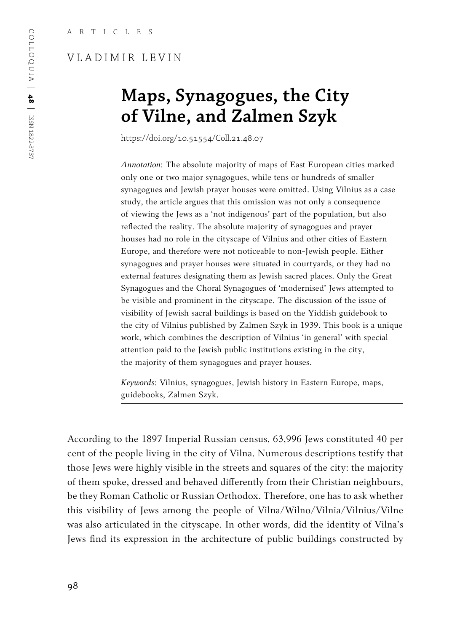# VLADIMIR LEVIN

# **Maps, Synagogues, the City of Vilne, and Zalmen Szyk**

https://doi.org/10.51554/Coll.21.48.07

*Annotation*: The absolute majority of maps of East European cities marked only one or two major synagogues, while tens or hundreds of smaller synagogues and Jewish prayer houses were omitted. Using Vilnius as a case study, the article argues that this omission was not only a consequence of viewing the Jews as a 'not indigenous' part of the population, but also reflected the reality. The absolute majority of synagogues and prayer houses had no role in the cityscape of Vilnius and other cities of Eastern Europe, and therefore were not noticeable to non-Jewish people. Either synagogues and prayer houses were situated in courtyards, or they had no external features designating them as Jewish sacred places. Only the Great Synagogues and the Choral Synagogues of 'modernised' Jews attempted to be visible and prominent in the cityscape. The discussion of the issue of visibility of Jewish sacral buildings is based on the Yiddish guidebook to the city of Vilnius published by Zalmen Szyk in 1939. This book is a unique work, which combines the description of Vilnius 'in general' with special attention paid to the Jewish public institutions existing in the city, the majority of them synagogues and prayer houses.

*Keywords*: Vilnius, synagogues, Jewish history in Eastern Europe, maps, guidebooks, Zalmen Szyk.

According to the 1897 Imperial Russian census, 63,996 Jews constituted 40 per cent of the people living in the city of Vilna. Numerous descriptions testify that those Jews were highly visible in the streets and squares of the city: the majority of them spoke, dressed and behaved differently from their Christian neighbours, be they Roman Catholic or Russian Orthodox. Therefore, one has to ask whether this visibility of Jews among the people of Vilna/Wilno/Vilnia/Vilnius/Vilne was also articulated in the cityscape. In other words, did the identity of Vilna's Jews find its expression in the architecture of public buildings constructed by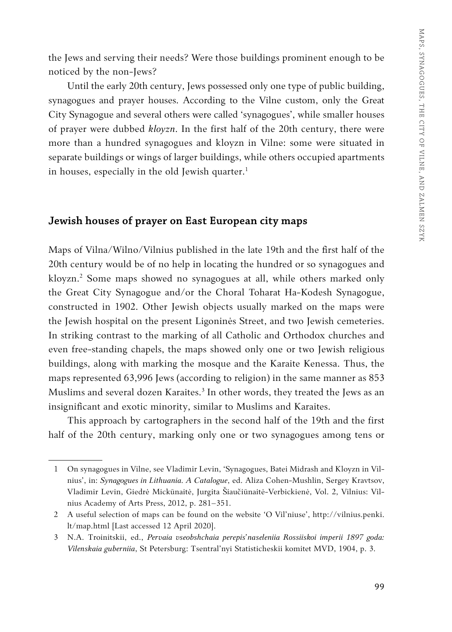the Jews and serving their needs? Were those buildings prominent enough to be noticed by the non-Jews?

Until the early 20th century, Jews possessed only one type of public building, synagogues and prayer houses. According to the Vilne custom, only the Great City Synagogue and several others were called 'synagogues', while smaller houses of prayer were dubbed *kloyzn*. In the first half of the 20th century, there were more than a hundred synagogues and kloyzn in Vilne: some were situated in separate buildings or wings of larger buildings, while others occupied apartments in houses, especially in the old Jewish quarter. $<sup>1</sup>$ </sup>

# **Jewish houses of prayer on East European city maps**

Maps of Vilna/Wilno/Vilnius published in the late 19th and the first half of the 20th century would be of no help in locating the hundred or so synagogues and kloyzn.2 Some maps showed no synagogues at all, while others marked only the Great City Synagogue and/or the Choral Toharat Ha-Kodesh Synagogue, constructed in 1902. Other Jewish objects usually marked on the maps were the Jewish hospital on the present Ligoninės Street, and two Jewish cemeteries. In striking contrast to the marking of all Catholic and Orthodox churches and even free-standing chapels, the maps showed only one or two Jewish religious buildings, along with marking the mosque and the Karaite Kenessa. Thus, the maps represented 63,996 Jews (according to religion) in the same manner as 853 Muslims and several dozen Karaites.<sup>3</sup> In other words, they treated the Jews as an insignificant and exotic minority, similar to Muslims and Karaites.

This approach by cartographers in the second half of the 19th and the first half of the 20th century, marking only one or two synagogues among tens or

<sup>1</sup> On synagogues in Vilne, see Vladimir Levin, 'Synagogues, Batei Midrash and Kloyzn in Vilnius', in: *Synagogues in Lithuania. A Catalogue*, ed. Aliza Cohen-Mushlin, Sergey Kravtsov, Vladimir Levin, Giedrė Mickūnaitė, Jurgita Šiaučiūnaitė-Verbickienė, Vol. 2, Vilnius: Vilnius Academy of Arts Press, 2012, p. 281–351.

<sup>2</sup> A useful selection of maps can be found on the website 'O Vil'niuse', http://vilnius.penki. lt/map.html [Last accessed 12 April 2020].

<sup>3</sup> N.А. Troinitskii, ed., *Pervaia vseobshchaia perepis'naseleniia Rossiiskoi imperii 1897 goda: Vilenskaia guberniia*, St Petersburg: Tsentral'nyi Statisticheskii komitet MVD, 1904, p. 3.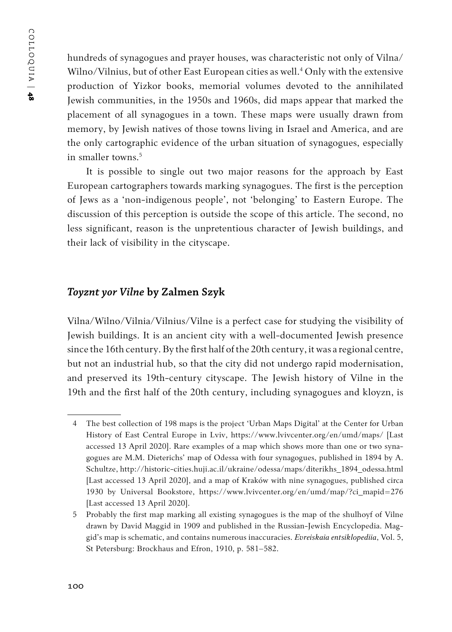hundreds of synagogues and prayer houses, was characteristic not only of Vilna/ Wilno/Vilnius, but of other East European cities as well.4 Only with the extensive production of Yizkor books, memorial volumes devoted to the annihilated Jewish communities, in the 1950s and 1960s, did maps appear that marked the placement of all synagogues in a town. These maps were usually drawn from memory, by Jewish natives of those towns living in Israel and America, and are the only cartographic evidence of the urban situation of synagogues, especially in smaller towns.<sup>5</sup>

It is possible to single out two major reasons for the approach by East European cartographers towards marking synagogues. The first is the perception of Jews as a 'non-indigenous people', not 'belonging' to Eastern Europe. The discussion of this perception is outside the scope of this article. The second, no less significant, reason is the unpretentious character of Jewish buildings, and their lack of visibility in the cityscape.

#### *Toyznt yor Vilne* **by Zalmen Szyk**

Vilna/Wilno/Vilnia/Vilnius/Vilne is a perfect case for studying the visibility of Jewish buildings. It is an ancient city with a well-documented Jewish presence since the 16th century. By the first half of the 20th century, it was a regional centre, but not an industrial hub, so that the city did not undergo rapid modernisation, and preserved its 19th-century cityscape. The Jewish history of Vilne in the 19th and the first half of the 20th century, including synagogues and kloyzn, is

<sup>4</sup> The best collection of 198 maps is the project 'Urban Maps Digital' at the Center for Urban History of East Central Europe in Lviv, https://www.lvivcenter.org/en/umd/maps/ [Last accessed 13 April 2020]. Rare examples of a map which shows more than one or two synagogues are M.M. Dieterichs' map of Odessa with four synagogues, published in 1894 by A. Schultze, http://historic-cities.huji.ac.il/ukraine/odessa/maps/diterikhs\_1894\_odessa.html [Last accessed 13 April 2020], and a map of Kraków with nine synagogues, published circa 1930 by Universal Bookstore, https://www.lvivcenter.org/en/umd/map/?ci\_mapid=276 [Last accessed 13 April 2020].

<sup>5</sup> Probably the first map marking all existing synagogues is the map of the shulhoyf of Vilne drawn by David Maggid in 1909 and published in the Russian-Jewish Encyclopedia. Maggid's map is schematic, and contains numerous inaccuracies. *Evreiskaia entsiklopediia*, Vol. 5, St Petersburg: Brockhaus and Efron, 1910, p. 581–582.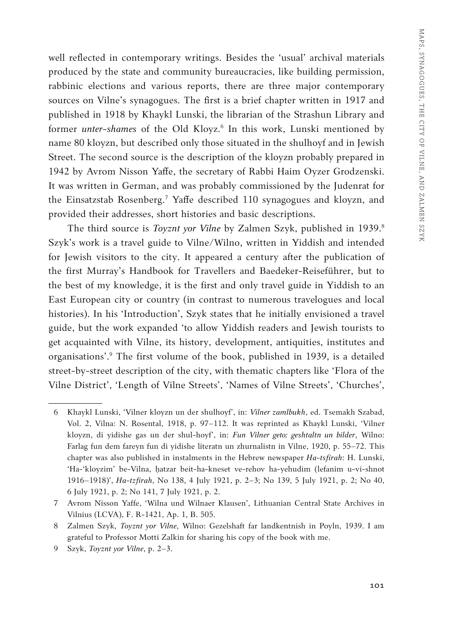well reflected in contemporary writings. Besides the 'usual' archival materials produced by the state and community bureaucracies, like building permission, rabbinic elections and various reports, there are three major contemporary sources on Vilne's synagogues. The first is a brief chapter written in 1917 and published in 1918 by Khaykl Lunski, the librarian of the Strashun Library and former *unter-shames* of the Old Kloyz.<sup>6</sup> In this work, Lunski mentioned by name 80 kloyzn, but described only those situated in the shulhoyf and in Jewish Street. The second source is the description of the kloyzn probably prepared in 1942 by Avrom Nisson Yaffe, the secretary of Rabbi Haim Oyzer Grodzenski. It was written in German, and was probably commissioned by the Judenrat for the Einsatzstab Rosenberg.7 Yaffe described 110 synagogues and kloyzn, and provided their addresses, short histories and basic descriptions.

The third source is *Toyznt yor Vilne* by Zalmen Szyk, published in 1939.<sup>8</sup> Szyk's work is a travel guide to Vilne/Wilno, written in Yiddish and intended for Jewish visitors to the city. It appeared a century after the publication of the first Murray's Handbook for Travellers and Baedeker-Reiseführer, but to the best of my knowledge, it is the first and only travel guide in Yiddish to an East European city or country (in contrast to numerous travelogues and local histories). In his 'Introduction', Szyk states that he initially envisioned a travel guide, but the work expanded 'to allow Yiddish readers and Jewish tourists to get acquainted with Vilne, its history, development, antiquities, institutes and organisations'.9 The first volume of the book, published in 1939, is a detailed street-by-street description of the city, with thematic chapters like 'Flora of the Vilne District', 'Length of Vilne Streets', 'Names of Vilne Streets', 'Churches',

<sup>6</sup> Khaykl Lunski, 'Vilner kloyzn un der shulhoyf', in: *Vilner zamlbukh*, ed. Tsemakh Szabad, Vol. 2, Vilna: N. Rosental, 1918, p. 97–112. It was reprinted as Khaykl Lunski, 'Vilner kloyzn, di yidishe gas un der shul-hoyf', in: *Fun Vilner geto: geshtaltn un bilder*, Wilno: Farlag fun dem fareyn fun di yidishe literatn un zhurnalistn in Vilne, 1920, p. 55–72. This chapter was also published in instalments in the Hebrew newspaper *Ha-tsfirah*: H. Lunski, 'Ha-'kloyzim' be-Vilna, ḥatzar beit-ha-kneset ve-rehov ha-yehudim (lefanim u-vi-shnot 1916–1918)', *Ha-tzfirah*, No 138, 4 July 1921, p. 2–3; No 139, 5 July 1921, p. 2; No 40, 6 July 1921, p. 2; No 141, 7 July 1921, p. 2.

<sup>7</sup> Avrom Nisson Yaffe, 'Wilna und Wilnaer Klausen', Lithuanian Central State Archives in Vilnius (LCVA), F. R-1421, Ap. 1, B. 505.

<sup>8</sup> Zalmen Szyk, *Toyznt yor Vilne*, Wilno: Gezelshaft far landkentnish in Poyln, 1939. I am grateful to Professor Motti Zalkin for sharing his copy of the book with me.

<sup>9</sup> Szyk, *Toyznt yor Vilne*, p. 2–3.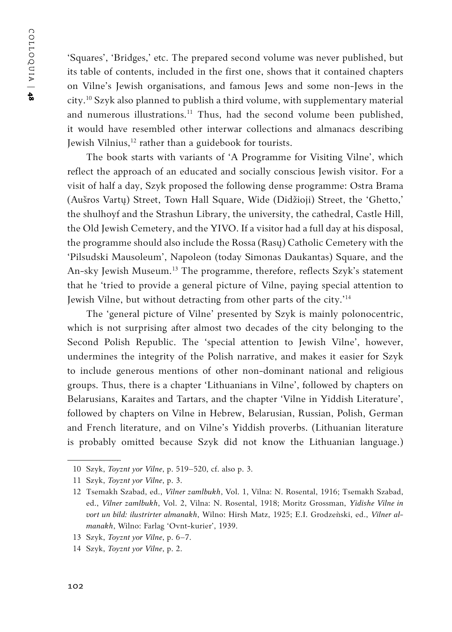'Squares', 'Bridges,' etc. The prepared second volume was never published, but its table of contents, included in the first one, shows that it contained chapters on Vilne's Jewish organisations, and famous Jews and some non-Jews in the city.10 Szyk also planned to publish a third volume, with supplementary material and numerous illustrations.<sup>11</sup> Thus, had the second volume been published, it would have resembled other interwar collections and almanacs describing Jewish Vilnius,<sup>12</sup> rather than a guidebook for tourists.

The book starts with variants of 'A Programme for Visiting Vilne', which reflect the approach of an educated and socially conscious Jewish visitor. For a visit of half a day, Szyk proposed the following dense programme: Ostra Brama (Aušros Vartų) Street, Town Hall Square, Wide (Didžioji) Street, the 'Ghetto,' the shulhoyf and the Strashun Library, the university, the cathedral, Castle Hill, the Old Jewish Cemetery, and the YIVO. If a visitor had a full day at his disposal, the programme should also include the Rossa (Rasų) Catholic Cemetery with the 'Pilsudski Mausoleum', Napoleon (today Simonas Daukantas) Square, and the An-sky Jewish Museum.<sup>13</sup> The programme, therefore, reflects Szyk's statement that he 'tried to provide a general picture of Vilne, paying special attention to Jewish Vilne, but without detracting from other parts of the city.'14

The 'general picture of Vilne' presented by Szyk is mainly polonocentric, which is not surprising after almost two decades of the city belonging to the Second Polish Republic. The 'special attention to Jewish Vilne', however, undermines the integrity of the Polish narrative, and makes it easier for Szyk to include generous mentions of other non-dominant national and religious groups. Thus, there is a chapter 'Lithuanians in Vilne', followed by chapters on Belarusians, Karaites and Tartars, and the chapter 'Vilne in Yiddish Literature', followed by chapters on Vilne in Hebrew, Belarusian, Russian, Polish, German and French literature, and on Vilne's Yiddish proverbs. (Lithuanian literature is probably omitted because Szyk did not know the Lithuanian language.)

<sup>10</sup> Szyk, *Toyznt yor Vilne*, p. 519–520, cf. also p. 3.

<sup>11</sup> Szyk, *Toyznt yor Vilne*, p. 3.

<sup>12</sup> Tsemakh Szabad, ed., *Vilner zamlbukh*, Vol. 1, Vilna: N. Rosental, 1916; Tsemakh Szabad, ed., *Vilner zamlbukh*, Vol. 2, Vilna: N. Rosental, 1918; Moritz Grossman, *Yidishe Vilne in vort un bild: ilustrirter almanakh*, Wilno: Hirsh Matz, 1925; E.I. Grodzeǹski, ed., *Vilner almanakh*, Wilno: Farlag 'Ovnt-kurier', 1939.

<sup>13</sup> Szyk, *Toyznt yor Vilne*, p. 6–7.

<sup>14</sup> Szyk, *Toyznt yor Vilne*, p. 2.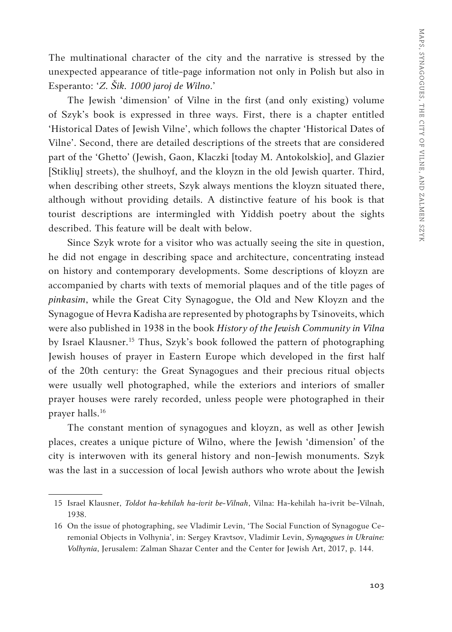The multinational character of the city and the narrative is stressed by the unexpected appearance of title-page information not only in Polish but also in Esperanto: '*Z. Šik. 1000 jaroj de Wilno*.'

The Jewish 'dimension' of Vilne in the first (and only existing) volume of Szyk's book is expressed in three ways. First, there is a chapter entitled 'Historical Dates of Jewish Vilne', which follows the chapter 'Historical Dates of Vilne'. Second, there are detailed descriptions of the streets that are considered part of the 'Ghetto' (Jewish, Gaon, Klaczki [today M. Antokolskio], and Glazier [Stiklių] streets), the shulhoyf, and the kloyzn in the old Jewish quarter. Third, when describing other streets, Szyk always mentions the kloyzn situated there, although without providing details. A distinctive feature of his book is that tourist descriptions are intermingled with Yiddish poetry about the sights described. This feature will be dealt with below.

Since Szyk wrote for a visitor who was actually seeing the site in question, he did not engage in describing space and architecture, concentrating instead on history and contemporary developments. Some descriptions of kloyzn are accompanied by charts with texts of memorial plaques and of the title pages of *pinkasim*, while the Great City Synagogue, the Old and New Kloyzn and the Synagogue of Hevra Kadisha are represented by photographs by Tsinoveits, which were also published in 1938 in the book *History of the Jewish Community in Vilna* by Israel Klausner.<sup>15</sup> Thus, Szyk's book followed the pattern of photographing Jewish houses of prayer in Eastern Europe which developed in the first half of the 20th century: the Great Synagogues and their precious ritual objects were usually well photographed, while the exteriors and interiors of smaller prayer houses were rarely recorded, unless people were photographed in their prayer halls.16

The constant mention of synagogues and kloyzn, as well as other Jewish places, creates a unique picture of Wilno, where the Jewish 'dimension' of the city is interwoven with its general history and non-Jewish monuments. Szyk was the last in a succession of local Jewish authors who wrote about the Jewish

<sup>15</sup> Israel Klausner, *Toldot ha-kehilah ha-ivrit be-Vilnah*, Vilna: Ha-kehilah ha-ivrit be-Vilnah, 1938.

<sup>16</sup> On the issue of photographing, see Vladimir Levin, 'The Social Function of Synagogue Ceremonial Objects in Volhynia', in: Sergey Kravtsov, Vladimir Levin, *Synagogues in Ukraine: Volhynia*, Jerusalem: Zalman Shazar Center and the Center for Jewish Art, 2017, p. 144.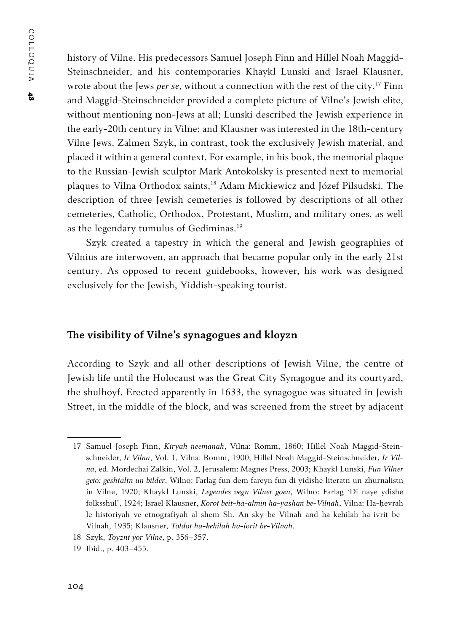history of Vilne. His predecessors Samuel Joseph Finn and Hillel Noah Maggid-Steinschneider, and his contemporaries Khaykl Lunski and Israel Klausner, wrote about the Jews *per se*, without a connection with the rest of the city.17 Finn and Maggid-Steinschneider provided a complete picture of Vilne's Jewish elite, without mentioning non-Jews at all; Lunski described the Jewish experience in the early-20th century in Vilne; and Klausner was interested in the 18th-century Vilne Jews. Zalmen Szyk, in contrast, took the exclusively Jewish material, and placed it within a general context. For example, in his book, the memorial plaque to the Russian-Jewish sculptor Mark Antokolsky is presented next to memorial plaques to Vilna Orthodox saints,18 Adam Mickiewicz and Józef Pilsudski. The description of three Jewish cemeteries is followed by descriptions of all other cemeteries, Catholic, Orthodox, Protestant, Muslim, and military ones, as well as the legendary tumulus of Gediminas.19

Szyk created a tapestry in which the general and Jewish geographies of Vilnius are interwoven, an approach that became popular only in the early 21st century. As opposed to recent guidebooks, however, his work was designed exclusively for the Jewish, Yiddish-speaking tourist.

# **The visibility of Vilne's synagogues and kloyzn**

According to Szyk and all other descriptions of Jewish Vilne, the centre of Jewish life until the Holocaust was the Great City Synagogue and its courtyard, the shulhoyf. Erected apparently in 1633, the synagogue was situated in Jewish Street, in the middle of the block, and was screened from the street by adjacent

<sup>17</sup> Samuel Joseph Finn, *Kiryah neemanah*, Vilna: Romm, 1860; Hillel Noah Maggid-Steinschneider, *Ir Vilna*, Vol. 1, Vilna: Romm, 1900; Hillel Noah Maggid-Steinschneider, *Ir Vilna*, ed. Mordechai Zalkin, Vol. 2, Jerusalem: Magnes Press, 2003; Khaykl Lunski, *Fun Vilner geto: geshtaltn un bilder*, Wilno: Farlag fun dem fareyn fun di yidishe literatn un zhurnalistn in Vilne, 1920; Khaykl Lunski, *Legendes vegn Vilner goen*, Wilno: Farlag 'Di naye ydishe folksshul', 1924; Israel Klausner, *Korot beit-ha-almin ha-yashan be-Vilnah*, Vilna: Ha-ḥevrah le-historiyah ve-etnografiyah al shem Sh. An-sky be-Vilnah and ha-kehilah ha-ivrit be-Vilnah, 1935; Klausner, *Toldot ha-kehilah ha-ivrit be-Vilnah*.

<sup>18</sup> Szyk, *Toyznt yor Vilne*, p. 356–357.

<sup>19</sup> Ibid., p. 403–455.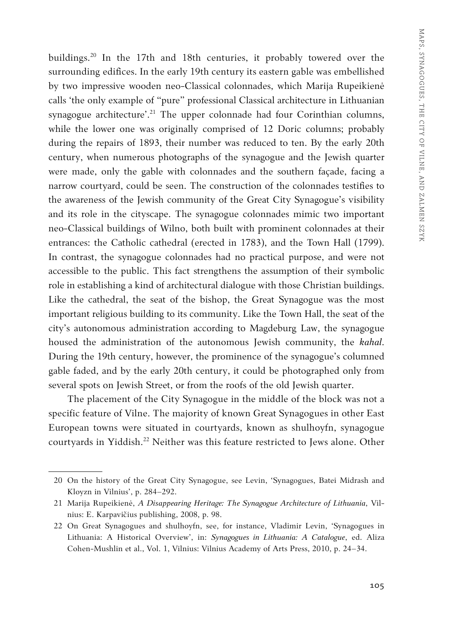buildings.20 In the 17th and 18th centuries, it probably towered over the surrounding edifices. In the early 19th century its eastern gable was embellished by two impressive wooden neo-Classical colonnades, which Marija Rupeikienė calls 'the only example of "pure" professional Classical architecture in Lithuanian synagogue architecture'.<sup>21</sup> The upper colonnade had four Corinthian columns, while the lower one was originally comprised of 12 Doric columns; probably during the repairs of 1893, their number was reduced to ten. By the early 20th century, when numerous photographs of the synagogue and the Jewish quarter were made, only the gable with colonnades and the southern façade, facing a narrow courtyard, could be seen. The construction of the colonnades testifies to the awareness of the Jewish community of the Great City Synagogue's visibility and its role in the cityscape. The synagogue colonnades mimic two important neo-Classical buildings of Wilno, both built with prominent colonnades at their entrances: the Catholic cathedral (erected in 1783), and the Town Hall (1799). In contrast, the synagogue colonnades had no practical purpose, and were not accessible to the public. This fact strengthens the assumption of their symbolic role in establishing a kind of architectural dialogue with those Christian buildings. Like the cathedral, the seat of the bishop, the Great Synagogue was the most important religious building to its community. Like the Town Hall, the seat of the city's autonomous administration according to Magdeburg Law, the synagogue housed the administration of the autonomous Jewish community, the *kahal*. During the 19th century, however, the prominence of the synagogue's columned gable faded, and by the early 20th century, it could be photographed only from several spots on Jewish Street, or from the roofs of the old Jewish quarter.

The placement of the City Synagogue in the middle of the block was not a specific feature of Vilne. The majority of known Great Synagogues in other East European towns were situated in courtyards, known as shulhoyfn, synagogue courtyards in Yiddish.<sup>22</sup> Neither was this feature restricted to Jews alone. Other

<sup>20</sup> On the history of the Great City Synagogue, see Levin, 'Synagogues, Batei Midrash and Kloyzn in Vilnius', p. 284–292.

<sup>21</sup> Marija Rupeikienė, *A Disappearing Heritage: The Synagogue Architecture of Lithuania*, Vilnius: E. Karpavičius publishing, 2008, p. 98.

<sup>22</sup> On Great Synagogues and shulhoyfn, see, for instance, Vladimir Levin, 'Synagogues in Lithuania: A Historical Overview', in: *Synagogues in Lithuania: A Catalogue*, ed. Aliza Cohen-Mushlin et al., Vol. 1, Vilnius: Vilnius Academy of Arts Press, 2010, p. 24–34.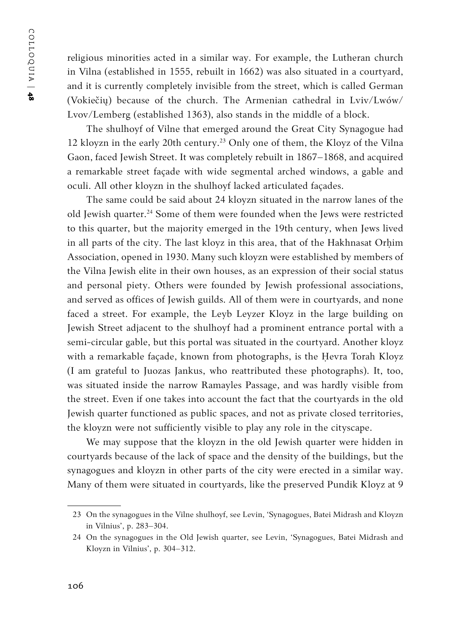religious minorities acted in a similar way. For example, the Lutheran church in Vilna (established in 1555, rebuilt in 1662) was also situated in a courtyard, and it is currently completely invisible from the street, which is called German (Vokiečių) because of the church. The Armenian cathedral in Lviv/Lwów/ Lvov/Lemberg (established 1363), also stands in the middle of a block.

The shulhoyf of Vilne that emerged around the Great City Synagogue had 12 kloyzn in the early 20th century.23 Only one of them, the Kloyz of the Vilna Gaon, faced Jewish Street. It was completely rebuilt in 1867–1868, and acquired a remarkable street façade with wide segmental arched windows, a gable and oculi. All other kloyzn in the shulhoyf lacked articulated façades.

The same could be said about 24 kloyzn situated in the narrow lanes of the old Jewish quarter.<sup>24</sup> Some of them were founded when the Jews were restricted to this quarter, but the majority emerged in the 19th century, when Jews lived in all parts of the city. The last kloyz in this area, that of the Hakhnasat Orḥim Association, opened in 1930. Many such kloyzn were established by members of the Vilna Jewish elite in their own houses, as an expression of their social status and personal piety. Others were founded by Jewish professional associations, and served as offices of Jewish guilds. All of them were in courtyards, and none faced a street. For example, the Leyb Leyzer Kloyz in the large building on Jewish Street adjacent to the shulhoyf had a prominent entrance portal with a semi-circular gable, but this portal was situated in the courtyard. Another kloyz with a remarkable façade, known from photographs, is the Ḥevra Torah Kloyz (I am grateful to Juozas Jankus, who reattributed these photographs). It, too, was situated inside the narrow Ramayles Passage, and was hardly visible from the street. Even if one takes into account the fact that the courtyards in the old Jewish quarter functioned as public spaces, and not as private closed territories, the kloyzn were not sufficiently visible to play any role in the cityscape.

We may suppose that the kloyzn in the old Jewish quarter were hidden in courtyards because of the lack of space and the density of the buildings, but the synagogues and kloyzn in other parts of the city were erected in a similar way. Many of them were situated in courtyards, like the preserved Pundik Kloyz at 9

<sup>23</sup> On the synagogues in the Vilne shulhoyf, see Levin, 'Synagogues, Batei Midrash and Kloyzn in Vilnius', p. 283–304.

<sup>24</sup> On the synagogues in the Old Jewish quarter, see Levin, 'Synagogues, Batei Midrash and Kloyzn in Vilnius', p. 304–312.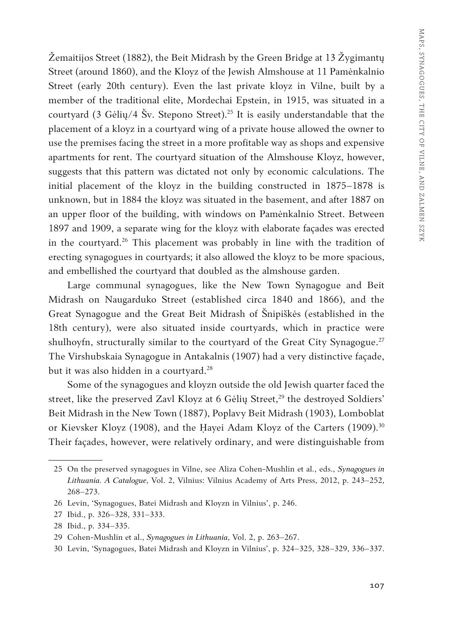Žemaitijos Street (1882), the Beit Midrash by the Green Bridge at 13 Žygimantų Street (around 1860), and the Kloyz of the Jewish Almshouse at 11 Pamėnkalnio Street (early 20th century). Even the last private kloyz in Vilne, built by a member of the traditional elite, Mordechai Epstein, in 1915, was situated in a courtyard (3 Gėlių/4 Šv. Stepono Street).<sup>25</sup> It is easily understandable that the placement of a kloyz in a courtyard wing of a private house allowed the owner to use the premises facing the street in a more profitable way as shops and expensive apartments for rent. The courtyard situation of the Almshouse Kloyz, however, suggests that this pattern was dictated not only by economic calculations. The initial placement of the kloyz in the building constructed in 1875–1878 is unknown, but in 1884 the kloyz was situated in the basement, and after 1887 on an upper floor of the building, with windows on Pamėnkalnio Street. Between 1897 and 1909, a separate wing for the kloyz with elaborate façades was erected in the courtyard.<sup>26</sup> This placement was probably in line with the tradition of erecting synagogues in courtyards; it also allowed the kloyz to be more spacious, and embellished the courtyard that doubled as the almshouse garden.

Large communal synagogues, like the New Town Synagogue and Beit Midrash on Naugarduko Street (established circa 1840 and 1866), and the Great Synagogue and the Great Beit Midrash of Šnipiškės (established in the 18th century), were also situated inside courtyards, which in practice were shulhoyfn, structurally similar to the courtyard of the Great City Synagogue.<sup>27</sup> The Virshubskaia Synagogue in Antakalnis (1907) had a very distinctive façade, but it was also hidden in a courtyard.<sup>28</sup>

Some of the synagogues and kloyzn outside the old Jewish quarter faced the street, like the preserved Zavl Kloyz at 6 Gėlių Street,<sup>29</sup> the destroyed Soldiers' Beit Midrash in the New Town (1887), Poplavy Beit Midrash (1903), Lomboblat or Kievsker Kloyz (1908), and the Hayei Adam Kloyz of the Carters (1909).<sup>30</sup> Their façades, however, were relatively ordinary, and were distinguishable from

<sup>25</sup> On the preserved synagogues in Vilne, see Aliza Cohen-Mushlin et al., eds., *Synagogues in Lithuania. A Catalogue*, Vol. 2, Vilnius: Vilnius Academy of Arts Press, 2012, p. 243–252, 268–273.

<sup>26</sup> Levin, 'Synagogues, Batei Midrash and Kloyzn in Vilnius', p. 246.

<sup>27</sup> Ibid., p. 326–328, 331–333.

<sup>28</sup> Ibid., p. 334–335.

<sup>29</sup> Cohen-Mushlin et al., *Synagogues in Lithuania*, Vol. 2, p. 263–267.

<sup>30</sup> Levin, 'Synagogues, Batei Midrash and Kloyzn in Vilnius', p. 324–325, 328–329, 336–337.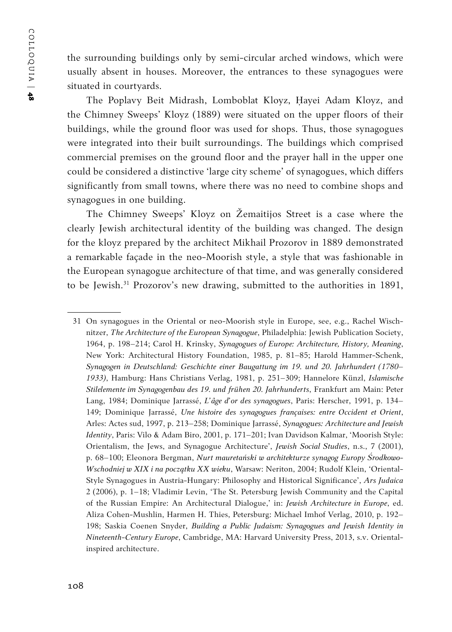the surrounding buildings only by semi-circular arched windows, which were usually absent in houses. Moreover, the entrances to these synagogues were situated in courtyards.

The Poplavy Beit Midrash, Lomboblat Kloyz, Ḥayei Adam Kloyz, and the Chimney Sweeps' Kloyz (1889) were situated on the upper floors of their buildings, while the ground floor was used for shops. Thus, those synagogues were integrated into their built surroundings. The buildings which comprised commercial premises on the ground floor and the prayer hall in the upper one could be considered a distinctive 'large city scheme' of synagogues, which differs significantly from small towns, where there was no need to combine shops and synagogues in one building.

The Chimney Sweeps' Kloyz on Žemaitijos Street is a case where the clearly Jewish architectural identity of the building was changed. The design for the kloyz prepared by the architect Mikhail Prozorov in 1889 demonstrated a remarkable façade in the neo-Moorish style, a style that was fashionable in the European synagogue architecture of that time, and was generally considered to be Jewish.31 Prozorov's new drawing, submitted to the authorities in 1891,

<sup>31</sup> On synagogues in the Oriental or neo-Moorish style in Europe, see, e.g., Rachel Wischnitzer, *The Architecture of the European Synagogue*, Philadelphia: Jewish Publication Society, 1964, p. 198–214; Carol H. Krinsky, *Synagogues of Europe: Architecture, History, Meaning*, New York: Architectural History Foundation, 1985, p. 81–85; Harold Hammer-Schenk, *Synagogen in Deutschland: Geschichte einer Baugattung im 19. und 20. Jahrhundert (1780– 1933)*, Hamburg: Hans Christians Verlag, 1981, p. 251–309; Hannelore Künzl, *Islamische Stilelemente im Synagogenbau des 19. und frühen 20. Jahrhunderts*, Frankfurt am Main: Peter Lang, 1984; Dominique Jarrassé, *L'âge d'or des synagogues*, Paris: Herscher, 1991, p. 134– 149; Dominique Jarrassé, *Une histoire des synagogues françaises: entre Occident et Orient*, Arles: Actes sud, 1997, p. 213–258; Dominique Jarrassé, *Synagogues: Architecture and Jewish Identity*, Paris: Vilo & Adam Biro, 2001, p. 171–201; Ivan Davidson Kalmar, 'Moorish Style: Orientalism, the Jews, and Synagogue Architecture', *Jewish Social Studies*, n.s., 7 (2001), p. 68–100; Eleonora Bergman, *Nurt mauretański w architekturze synagog Europy Środkowo-Wschodniej w XIX i na początku XX wieku*, Warsaw: Neriton, 2004; Rudolf Klein, 'Oriental-Style Synagogues in Austria-Hungary: Philosophy and Historical Significance', *Ars Judaica* 2 (2006), p. 1–18; Vladimir Levin, 'The St. Petersburg Jewish Community and the Capital of the Russian Empire: An Architectural Dialogue,' in: *Jewish Architecture in Europe*, ed. Aliza Cohen-Mushlin, Harmen H. Thies, Petersburg: Michael Imhof Verlag, 2010, p. 192– 198; Saskia Coenen Snyder, *Building a Public Judaism: Synagogues and Jewish Identity in Nineteenth-Century Europe*, Cambridge, MA: Harvard University Press, 2013, s.v. Orientalinspired architecture.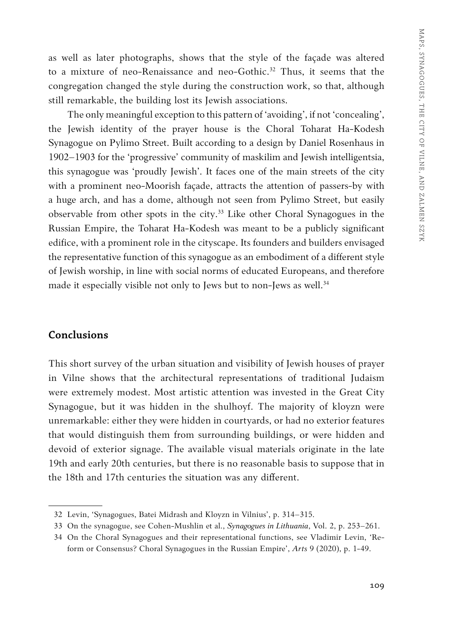as well as later photographs, shows that the style of the façade was altered to a mixture of neo-Renaissance and neo-Gothic.<sup>32</sup> Thus, it seems that the congregation changed the style during the construction work, so that, although still remarkable, the building lost its Jewish associations.

The only meaningful exception to this pattern of 'avoiding', if not 'concealing', the Jewish identity of the prayer house is the Choral Toharat Ha-Kodesh Synagogue on Pylimo Street. Built according to a design by Daniel Rosenhaus in 1902–1903 for the 'progressive' community of maskilim and Jewish intelligentsia, this synagogue was 'proudly Jewish'. It faces one of the main streets of the city with a prominent neo-Moorish façade, attracts the attention of passers-by with a huge arch, and has a dome, although not seen from Pylimo Street, but easily observable from other spots in the city.<sup>33</sup> Like other Choral Synagogues in the Russian Empire, the Toharat Ha-Kodesh was meant to be a publicly significant edifice, with a prominent role in the cityscape. Its founders and builders envisaged the representative function of this synagogue as an embodiment of a different style of Jewish worship, in line with social norms of educated Europeans, and therefore made it especially visible not only to Jews but to non-Jews as well.<sup>34</sup>

# **Conclusions**

This short survey of the urban situation and visibility of Jewish houses of prayer in Vilne shows that the architectural representations of traditional Judaism were extremely modest. Most artistic attention was invested in the Great City Synagogue, but it was hidden in the shulhoyf. The majority of kloyzn were unremarkable: either they were hidden in courtyards, or had no exterior features that would distinguish them from surrounding buildings, or were hidden and devoid of exterior signage. The available visual materials originate in the late 19th and early 20th centuries, but there is no reasonable basis to suppose that in the 18th and 17th centuries the situation was any different.

<sup>32</sup> Levin, 'Synagogues, Batei Midrash and Kloyzn in Vilnius', p. 314–315.

<sup>33</sup> On the synagogue, see Cohen-Mushlin et al., *Synagogues in Lithuania*, Vol. 2, p. 253–261.

<sup>34</sup> On the Choral Synagogues and their representational functions, see Vladimir Levin, 'Reform or Consensus? Choral Synagogues in the Russian Empire', *Arts* 9 (2020), p. 1-49.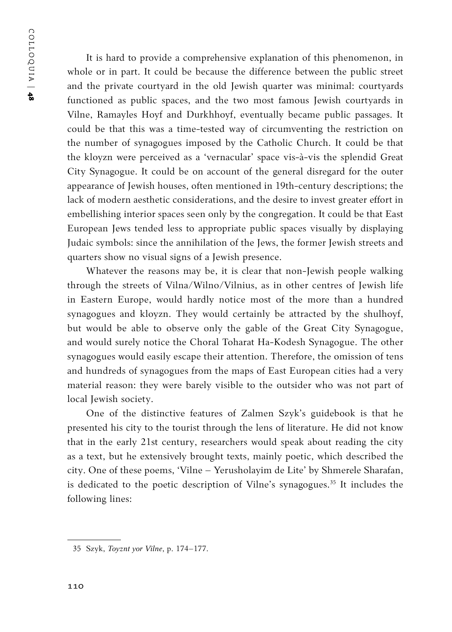COLLOQUIA | COLLOQUIA | 48

It is hard to provide a comprehensive explanation of this phenomenon, in whole or in part. It could be because the difference between the public street and the private courtyard in the old Jewish quarter was minimal: courtyards functioned as public spaces, and the two most famous Jewish courtyards in Vilne, Ramayles Hoyf and Durkhhoyf, eventually became public passages. It could be that this was a time-tested way of circumventing the restriction on the number of synagogues imposed by the Catholic Church. It could be that the kloyzn were perceived as a 'vernacular' space vis-à-vis the splendid Great City Synagogue. It could be on account of the general disregard for the outer appearance of Jewish houses, often mentioned in 19th-century descriptions; the lack of modern aesthetic considerations, and the desire to invest greater effort in embellishing interior spaces seen only by the congregation. It could be that East European Jews tended less to appropriate public spaces visually by displaying Judaic symbols: since the annihilation of the Jews, the former Jewish streets and quarters show no visual signs of a Jewish presence.

Whatever the reasons may be, it is clear that non-Jewish people walking through the streets of Vilna/Wilno/Vilnius, as in other centres of Jewish life in Eastern Europe, would hardly notice most of the more than a hundred synagogues and kloyzn. They would certainly be attracted by the shulhoyf, but would be able to observe only the gable of the Great City Synagogue, and would surely notice the Choral Toharat Ha-Kodesh Synagogue. The other synagogues would easily escape their attention. Therefore, the omission of tens and hundreds of synagogues from the maps of East European cities had a very material reason: they were barely visible to the outsider who was not part of local Jewish society.

One of the distinctive features of Zalmen Szyk's guidebook is that he presented his city to the tourist through the lens of literature. He did not know that in the early 21st century, researchers would speak about reading the city as a text, but he extensively brought texts, mainly poetic, which described the city. One of these poems, 'Vilne – Yerusholayim de Lite' by Shmerele Sharafan, is dedicated to the poetic description of Vilne's synagogues.<sup>35</sup> It includes the following lines:

<sup>35</sup> Szyk, *Toyznt yor Vilne*, p. 174–177.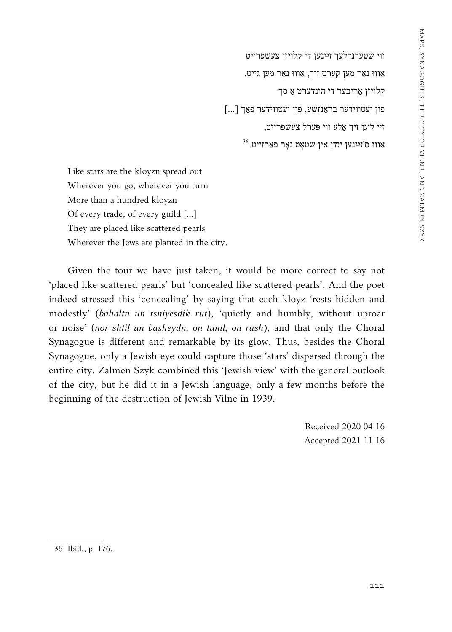<sup>36</sup> ווי שטערנדלעך זײַנען די קלויזן צעשפּרייט . אַוווּ נאָר מען קערט זיך, אַוווּ נאָר מען גייט קלויזן אַ ריבער די הונדערט אַ סך  $\left[\ldots\right]$  פון יעטווידער פאַך  $\left[\ldots\right]$ זיי ליגן זיך אַ לע ווי פּערל צעשפרייט,  $^{36}\!$ אַוווּ ס'זײַנען ייִדן אין שטאַט נאָר פֿאַרזייט.

Like stars are the kloyzn spread out Wherever you go, wherever you turn More than a hundred kloyzn Of every trade, of every guild […] They are placed like scattered pearls Wherever the Jews are planted in the city.

Given the tour we have just taken, it would be more correct to say not 'placed like scattered pearls' but 'concealed like scattered pearls'. And the poet indeed stressed this 'concealing' by saying that each kloyz 'rests hidden and modestly' (*bahaltn un tsniyesdik rut*), 'quietly and humbly, without uproar or noise' (*nor shtil un basheydn, on tuml, on rash*), and that only the Choral Synagogue is different and remarkable by its glow. Thus, besides the Choral Synagogue, only a Jewish eye could capture those 'stars' dispersed through the entire city. Zalmen Szyk combined this 'Jewish view' with the general outlook of the city, but he did it in a Jewish language, only a few months before the beginning of the destruction of Jewish Vilne in 1939.

> Received 2020 04 16 Accepted 2021 11 16

<sup>36</sup> Ibid., p. 176.